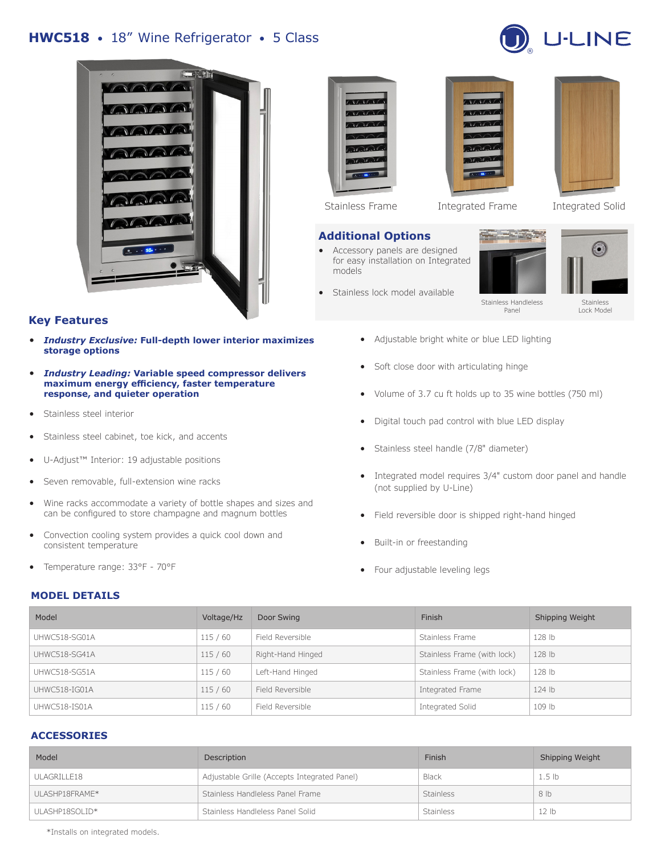# **HWC518** • 18" Wine Refrigerator • 5 Class





### **Key Features**

- *Industry Exclusive:* **Full-depth lower interior maximizes storage options**
- *Industry Leading:* **Variable speed compressor delivers maximum energy efficiency, faster temperature response, and quieter operation**
- Stainless steel interior
- Stainless steel cabinet, toe kick, and accents
- U-Adjust™ Interior: 19 adjustable positions
- Seven removable, full-extension wine racks
- Wine racks accommodate a variety of bottle shapes and sizes and can be configured to store champagne and magnum bottles
- Convection cooling system provides a quick cool down and consistent temperature
- Temperature range: 33°F 70°F

### **MODEL DETAILS**



### **Additional Options**

- Accessory panels are designed for easy installation on Integrated models
- Stainless lock model available



Stainless Frame Integrated Frame Integrated Solid





Stainless Lock Model

Stainless Handleless Panel

- Adjustable bright white or blue LED lighting
- Soft close door with articulating hinge
- Volume of 3.7 cu ft holds up to 35 wine bottles (750 ml)
- Digital touch pad control with blue LED display
- Stainless steel handle (7/8" diameter)
- Integrated model requires 3/4" custom door panel and handle (not supplied by U-Line)
- Field reversible door is shipped right-hand hinged
- Built-in or freestanding
- Four adjustable leveling legs

| Model         | Voltage/Hz | Door Swing        | Finish                      | Shipping Weight |
|---------------|------------|-------------------|-----------------------------|-----------------|
| UHWC518-SG01A | 115/60     | Field Reversible  | Stainless Frame             | 128 lb          |
| UHWC518-SG41A | 115/60     | Right-Hand Hinged | Stainless Frame (with lock) | 128 lb          |
| UHWC518-SG51A | 115/60     | Left-Hand Hinged  | Stainless Frame (with lock) | 128 lb          |
| UHWC518-IG01A | 115/60     | Field Reversible  | Integrated Frame            | $124$ lb        |
| UHWC518-IS01A | 115/60     | Field Reversible  | Integrated Solid            | 109 lb          |

## **ACCESSORIES**

| Model          | Description                                  | Finish           | Shipping Weight   |
|----------------|----------------------------------------------|------------------|-------------------|
| ULAGRILLE18    | Adjustable Grille (Accepts Integrated Panel) | Black            | 1.5 <sub>1b</sub> |
| ULASHP18FRAME* | Stainless Handleless Panel Frame             | <b>Stainless</b> | 8 lb              |
| ULASHP18SOLID* | Stainless Handleless Panel Solid             | <b>Stainless</b> | 12 lb             |

\*Installs on integrated models.